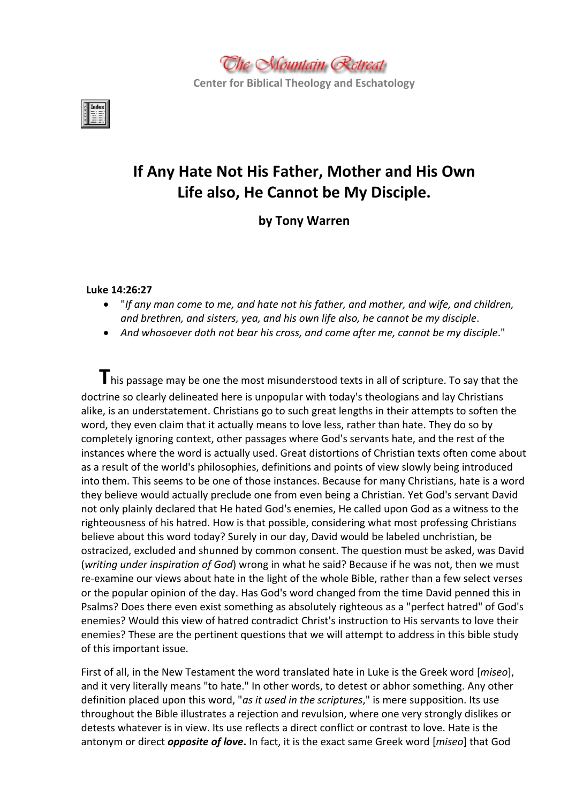

**Center for Biblical Theology and Eschatology**



# **If Any Hate Not His Father, Mother and His Own Life also, He Cannot be My Disciple.**

**by Tony Warren**

## **Luke 14:26:27**

- "*If any man come to me, and hate not his father, and mother, and wife, and children, and brethren, and sisters, yea, and his own life also, he cannot be my disciple*.
- *And whosoever doth not bear his cross, and come after me, cannot be my disciple*."

**T**his passage may be one the most misunderstood texts in all of scripture. To say that the doctrine so clearly delineated here is unpopular with today's theologians and lay Christians alike, is an understatement. Christians go to such great lengths in their attempts to soften the word, they even claim that it actually means to love less, rather than hate. They do so by completely ignoring context, other passages where God's servants hate, and the rest of the instances where the word is actually used. Great distortions of Christian texts often come about as a result of the world's philosophies, definitions and points of view slowly being introduced into them. This seems to be one of those instances. Because for many Christians, hate is a word they believe would actually preclude one from even being a Christian. Yet God's servant David not only plainly declared that He hated God's enemies, He called upon God as a witness to the righteousness of his hatred. How is that possible, considering what most professing Christians believe about this word today? Surely in our day, David would be labeled unchristian, be ostracized, excluded and shunned by common consent. The question must be asked, was David (*writing under inspiration of God*) wrong in what he said? Because if he was not, then we must re-examine our views about hate in the light of the whole Bible, rather than a few select verses or the popular opinion of the day. Has God's word changed from the time David penned this in Psalms? Does there even exist something as absolutely righteous as a "perfect hatred" of God's enemies? Would this view of hatred contradict Christ's instruction to His servants to love their enemies? These are the pertinent questions that we will attempt to address in this bible study of this important issue.

First of all, in the New Testament the word translated hate in Luke is the Greek word [*miseo*], and it very literally means "to hate." In other words, to detest or abhor something. Any other definition placed upon this word, "*as it used in the scriptures*," is mere supposition. Its use throughout the Bible illustrates a rejection and revulsion, where one very strongly dislikes or detests whatever is in view. Its use reflects a direct conflict or contrast to love. Hate is the antonym or direct *opposite of love***.** In fact, it is the exact same Greek word [*miseo*] that God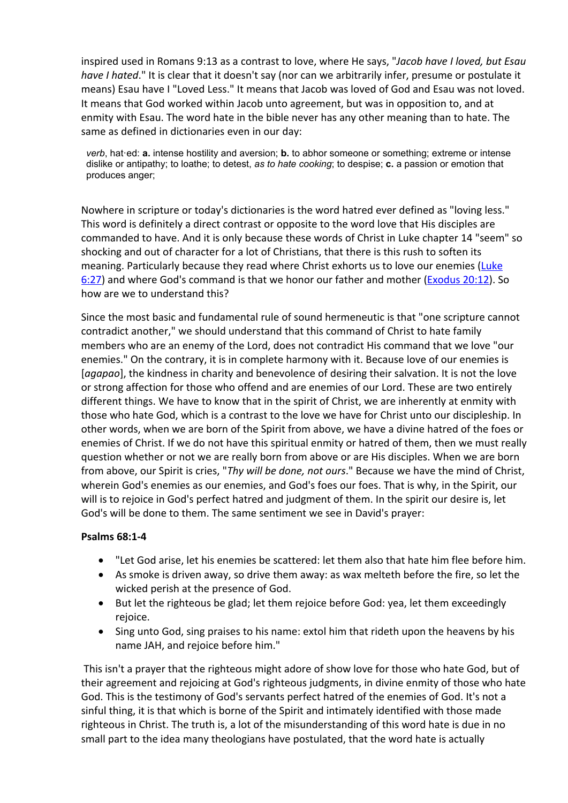inspired used in Romans 9:13 as a contrast to love, where He says, "*Jacob have I loved, but Esau have I hated*." It is clear that it doesn't say (nor can we arbitrarily infer, presume or postulate it means) Esau have I "Loved Less." It means that Jacob was loved of God and Esau was not loved. It means that God worked within Jacob unto agreement, but was in opposition to, and at enmity with Esau. The word hate in the bible never has any other meaning than to hate. The same as defined in dictionaries even in our day:

*verb*, hat·ed: **a.** intense hostility and aversion; **b.** to abhor someone or something; extreme or intense dislike or antipathy; to loathe; to detest, *as to hate cooking*; to despise; **c.** a passion or emotion that produces anger;

Nowhere in scripture or today's dictionaries is the word hatred ever defined as "loving less." This word is definitely a direct contrast or opposite to the word love that His disciples are commanded to have. And it is only because these words of Christ in Luke chapter 14 "seem" so shocking and out of character for a lot of Christians, that there is this rush to soften its meaning. Particularly because they read where Christ exhorts us to love our enemies [\(Luke](http://www.mountainretreat.org/bibleit/bibleit.cgi) [6:27\)](http://www.mountainretreat.org/bibleit/bibleit.cgi) and where God's command is that we honor our father and mother ([Exodus](http://www.mountainretreat.org/bibleit/bibleit.cgi) [20:12\)](http://www.mountainretreat.org/bibleit/bibleit.cgi). So how are we to understand this?

Since the most basic and fundamental rule of sound hermeneutic is that "one scripture cannot contradict another," we should understand that this command of Christ to hate family members who are an enemy of the Lord, does not contradict His command that we love "our enemies." On the contrary, it is in complete harmony with it. Because love of our enemies is [*agapao*], the kindness in charity and benevolence of desiring their salvation. It is not the love or strong affection for those who offend and are enemies of our Lord. These are two entirely different things. We have to know that in the spirit of Christ, we are inherently at enmity with those who hate God, which is a contrast to the love we have for Christ unto our discipleship. In other words, when we are born of the Spirit from above, we have a divine hatred of the foes or enemies of Christ. If we do not have this spiritual enmity or hatred of them, then we must really question whether or not we are really born from above or are His disciples. When we are born from above, our Spirit is cries, "*Thy will be done, not ours*." Because we have the mind of Christ, wherein God's enemies as our enemies, and God's foes our foes. That is why, in the Spirit, our will is to rejoice in God's perfect hatred and judgment of them. In the spirit our desire is, let God's will be done to them. The same sentiment we see in David's prayer:

### **Psalms 68:1-4**

- "Let God arise, let his enemies be scattered: let them also that hate him flee before him.
- As smoke is driven away, so drive them away: as wax melteth before the fire, so let the wicked perish at the presence of God.
- But let the righteous be glad; let them rejoice before God: yea, let them exceedingly rejoice.
- Sing unto God, sing praises to his name: extol him that rideth upon the heavens by his name JAH, and rejoice before him."

This isn't a prayer that the righteous might adore of show love for those who hate God, but of their agreement and rejoicing at God's righteous judgments, in divine enmity of those who hate God. This is the testimony of God's servants perfect hatred of the enemies of God. It's not a sinful thing, it is that which is borne of the Spirit and intimately identified with those made righteous in Christ. The truth is, a lot of the misunderstanding of this word hate is due in no small part to the idea many theologians have postulated, that the word hate is actually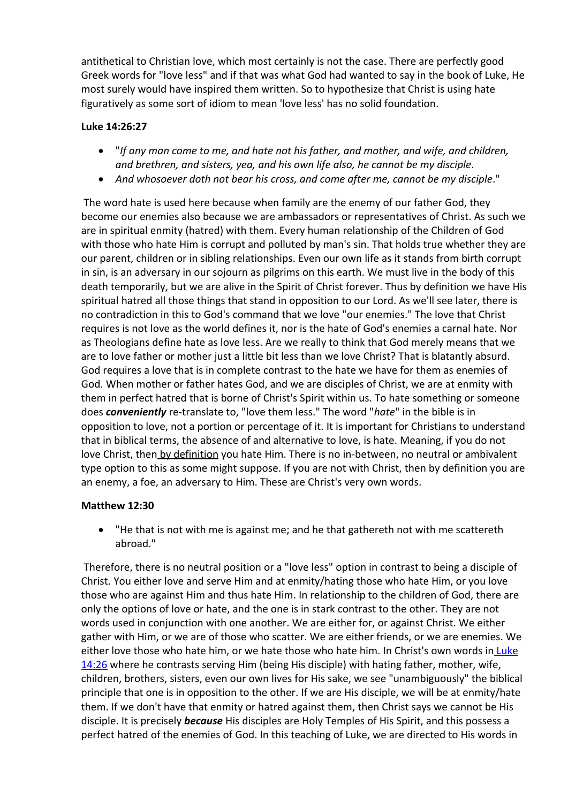antithetical to Christian love, which most certainly is not the case. There are perfectly good Greek words for "love less" and if that was what God had wanted to say in the book of Luke, He most surely would have inspired them written. So to hypothesize that Christ is using hate figuratively as some sort of idiom to mean 'love less' has no solid foundation.

# **Luke 14:26:27**

- "*If any man come to me, and hate not his father, and mother, and wife, and children, and brethren, and sisters, yea, and his own life also, he cannot be my disciple*.
- *And whosoever doth not bear his cross, and come after me, cannot be my disciple*."

The word hate is used here because when family are the enemy of our father God, they become our enemies also because we are ambassadors or representatives of Christ. As such we are in spiritual enmity (hatred) with them. Every human relationship of the Children of God with those who hate Him is corrupt and polluted by man's sin. That holds true whether they are our parent, children or in sibling relationships. Even our own life as it stands from birth corrupt in sin, is an adversary in our sojourn as pilgrims on this earth. We must live in the body of this death temporarily, but we are alive in the Spirit of Christ forever. Thus by definition we have His spiritual hatred all those things that stand in opposition to our Lord. As we'll see later, there is no contradiction in this to God's command that we love "our enemies." The love that Christ requires is not love as the world defines it, nor is the hate of God's enemies a carnal hate. Nor as Theologians define hate as love less. Are we really to think that God merely means that we are to love father or mother just a little bit less than we love Christ? That is blatantly absurd. God requires a love that is in complete contrast to the hate we have for them as enemies of God. When mother or father hates God, and we are disciples of Christ, we are at enmity with them in perfect hatred that is borne of Christ's Spirit within us. To hate something or someone does *conveniently* re-translate to, "love them less." The word "*hate*" in the bible is in opposition to love, not a portion or percentage of it. It is important for Christians to understand that in biblical terms, the absence of and alternative to love, is hate. Meaning, if you do not love Christ, then by definition you hate Him. There is no in-between, no neutral or ambivalent type option to this as some might suppose. If you are not with Christ, then by definition you are an enemy, a foe, an adversary to Him. These are Christ's very own words.

## **Matthew 12:30**

 "He that is not with me is against me; and he that gathereth not with me scattereth abroad."

Therefore, there is no neutral position or a "love less" option in contrast to being a disciple of Christ. You either love and serve Him and at enmity/hating those who hate Him, or you love those who are against Him and thus hate Him. In relationship to the children of God, there are only the options of love or hate, and the one is in stark contrast to the other. They are not words used in conjunction with one another. We are either for, or against Christ. We either gather with Him, or we are of those who scatter. We are either friends, or we are enemies. We either love those who hate him, or we hate those who hate him. In Christ's own words in [Luke](http://www.mountainretreat.org/bibleit/bibleit.cgi) [14:26](http://www.mountainretreat.org/bibleit/bibleit.cgi) where he contrasts serving Him (being His disciple) with hating father, mother, wife, children, brothers, sisters, even our own lives for His sake, we see "unambiguously" the biblical principle that one is in opposition to the other. If we are His disciple, we will be at enmity/hate them. If we don't have that enmity or hatred against them, then Christ says we cannot be His disciple. It is precisely *because* His disciples are Holy Temples of His Spirit, and this possess a perfect hatred of the enemies of God. In this teaching of Luke, we are directed to His words in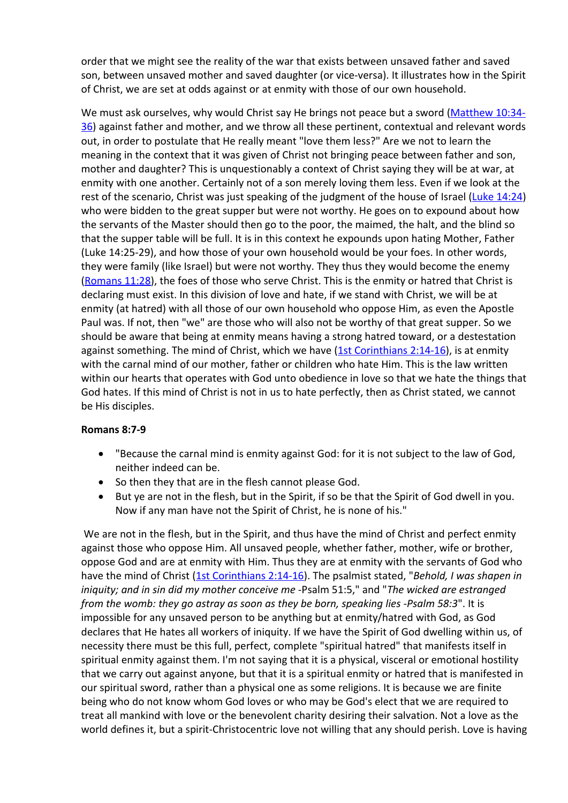order that we might see the reality of the war that exists between unsaved father and saved son, between unsaved mother and saved daughter (or vice-versa). It illustrates how in the Spirit of Christ, we are set at odds against or at enmity with those of our own household.

We must ask ourselves, why would Christ say He brings not peace but a sword [\(Matthew](http://www.mountainretreat.org/bibleit/bibleit.cgi) [10:34-](http://www.mountainretreat.org/bibleit/bibleit.cgi) [36](http://www.mountainretreat.org/bibleit/bibleit.cgi)) against father and mother, and we throw all these pertinent, contextual and relevant words out, in order to postulate that He really meant "love them less?" Are we not to learn the meaning in the context that it was given of Christ not bringing peace between father and son, mother and daughter? This is unquestionably a context of Christ saying they will be at war, at enmity with one another. Certainly not of a son merely loving them less. Even if we look at the rest of the scenario, Christ was just speaking of the judgment of the house of Israel ([Luke](http://www.mountainretreat.org/bibleit/bibleit.cgi) [14:24](http://www.mountainretreat.org/bibleit/bibleit.cgi)) who were bidden to the great supper but were not worthy. He goes on to expound about how the servants of the Master should then go to the poor, the maimed, the halt, and the blind so that the supper table will be full. It is in this context he expounds upon hating Mother, Father (Luke 14:25-29), and how those of your own household would be your foes. In other words, they were family (like Israel) but were not worthy. They thus they would become the enemy ([Romans](http://www.mountainretreat.org/bibleit/bibleit.cgi) [11:28](http://www.mountainretreat.org/bibleit/bibleit.cgi)), the foes of those who serve Christ. This is the enmity or hatred that Christ is declaring must exist. In this division of love and hate, if we stand with Christ, we will be at enmity (at hatred) with all those of our own household who oppose Him, as even the Apostle Paul was. If not, then "we" are those who will also not be worthy of that great supper. So we should be aware that being at enmity means having a strong hatred toward, or a destestation against something. The mind of Christ, which we have  $(1st$  [Corinthians](http://www.mountainretreat.org/bibleit/bibleit.cgi)  $2:14-16$ ), is at enmity with the carnal mind of our mother, father or children who hate Him. This is the law written within our hearts that operates with God unto obedience in love so that we hate the things that God hates. If this mind of Christ is not in us to hate perfectly, then as Christ stated, we cannot be His disciples.

## **Romans 8:7-9**

- "Because the carnal mind is enmity against God: for it is not subject to the law of God, neither indeed can be.
- So then they that are in the flesh cannot please God.
- But ye are not in the flesh, but in the Spirit, if so be that the Spirit of God dwell in you. Now if any man have not the Spirit of Christ, he is none of his."

We are not in the flesh, but in the Spirit, and thus have the mind of Christ and perfect enmity against those who oppose Him. All unsaved people, whether father, mother, wife or brother, oppose God and are at enmity with Him. Thus they are at enmity with the servants of God who have the mind of Christ [\(1st](http://www.mountainretreat.org/bibleit/bibleit.cgi) [Corinthians](http://www.mountainretreat.org/bibleit/bibleit.cgi) [2:14-16\)](http://www.mountainretreat.org/bibleit/bibleit.cgi). The psalmist stated, "*Behold, I was shapen in iniquity; and in sin did my mother conceive me* -Psalm 51:5," and "*The wicked are estranged from the womb: they go astray as soon as they be born, speaking lies -Psalm 58:3*". It is impossible for any unsaved person to be anything but at enmity/hatred with God, as God declares that He hates all workers of iniquity. If we have the Spirit of God dwelling within us, of necessity there must be this full, perfect, complete "spiritual hatred" that manifests itself in spiritual enmity against them. I'm not saying that it is a physical, visceral or emotional hostility that we carry out against anyone, but that it is a spiritual enmity or hatred that is manifested in our spiritual sword, rather than a physical one as some religions. It is because we are finite being who do not know whom God loves or who may be God's elect that we are required to treat all mankind with love or the benevolent charity desiring their salvation. Not a love as the world defines it, but a spirit-Christocentric love not willing that any should perish. Love is having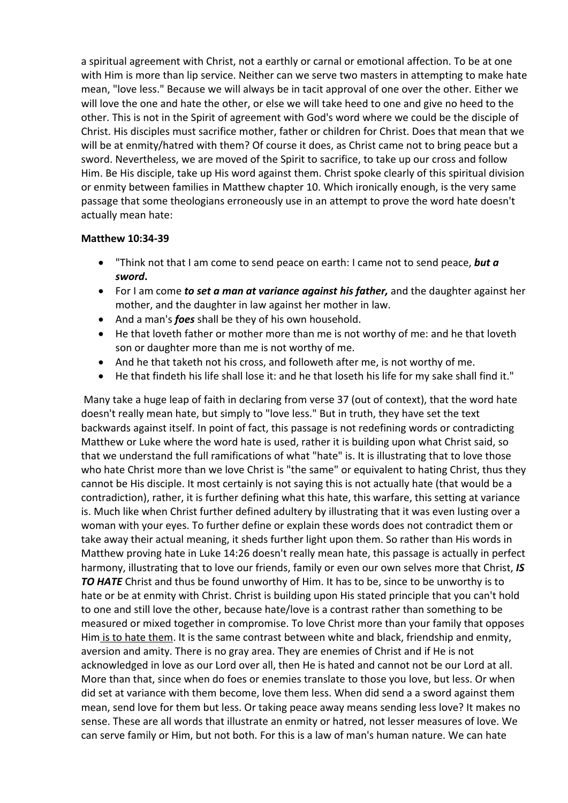a spiritual agreement with Christ, not a earthly or carnal or emotional affection. To be at one with Him is more than lip service. Neither can we serve two masters in attempting to make hate mean, "love less." Because we will always be in tacit approval of one over the other. Either we will love the one and hate the other, or else we will take heed to one and give no heed to the other. This is not in the Spirit of agreement with God's word where we could be the disciple of Christ. His disciples must sacrifice mother, father or children for Christ. Does that mean that we will be at enmity/hatred with them? Of course it does, as Christ came not to bring peace but a sword. Nevertheless, we are moved of the Spirit to sacrifice, to take up our cross and follow Him. Be His disciple, take up His word against them. Christ spoke clearly of this spiritual division or enmity between families in Matthew chapter 10. Which ironically enough, is the very same passage that some theologians erroneously use in an attempt to prove the word hate doesn't actually mean hate:

## **Matthew 10:34-39**

- "Think not that I am come to send peace on earth: I came not to send peace, *but a sword***.**
- For I am come *to set a man at variance against his father,* and the daughter against her mother, and the daughter in law against her mother in law.
- And a man's *foes* shall be they of his own household.
- He that loveth father or mother more than me is not worthy of me: and he that loveth son or daughter more than me is not worthy of me.
- And he that taketh not his cross, and followeth after me, is not worthy of me.
- He that findeth his life shall lose it: and he that loseth his life for my sake shall find it."

Many take a huge leap of faith in declaring from verse 37 (out of context), that the word hate doesn't really mean hate, but simply to "love less." But in truth, they have set the text backwards against itself. In point of fact, this passage is not redefining words or contradicting Matthew or Luke where the word hate is used, rather it is building upon what Christ said, so that we understand the full ramifications of what "hate" is. It is illustrating that to love those who hate Christ more than we love Christ is "the same" or equivalent to hating Christ, thus they cannot be His disciple. It most certainly is not saying this is not actually hate (that would be a contradiction), rather, it is further defining what this hate, this warfare, this setting at variance is. Much like when Christ further defined adultery by illustrating that it was even lusting over a woman with your eyes. To further define or explain these words does not contradict them or take away their actual meaning, it sheds further light upon them. So rather than His words in Matthew proving hate in Luke 14:26 doesn't really mean hate, this passage is actually in perfect harmony, illustrating that to love our friends, family or even our own selves more that Christ, *IS TO HATE* Christ and thus be found unworthy of Him. It has to be, since to be unworthy is to hate or be at enmity with Christ. Christ is building upon His stated principle that you can't hold to one and still love the other, because hate/love is a contrast rather than something to be measured or mixed together in compromise. To love Christ more than your family that opposes Him is to hate them. It is the same contrast between white and black, friendship and enmity, aversion and amity. There is no gray area. They are enemies of Christ and if He is not acknowledged in love as our Lord over all, then He is hated and cannot not be our Lord at all. More than that, since when do foes or enemies translate to those you love, but less. Or when did set at variance with them become, love them less. When did send a a sword against them mean, send love for them but less. Or taking peace away means sending less love? It makes no sense. These are all words that illustrate an enmity or hatred, not lesser measures of love. We can serve family or Him, but not both. For this is a law of man's human nature. We can hate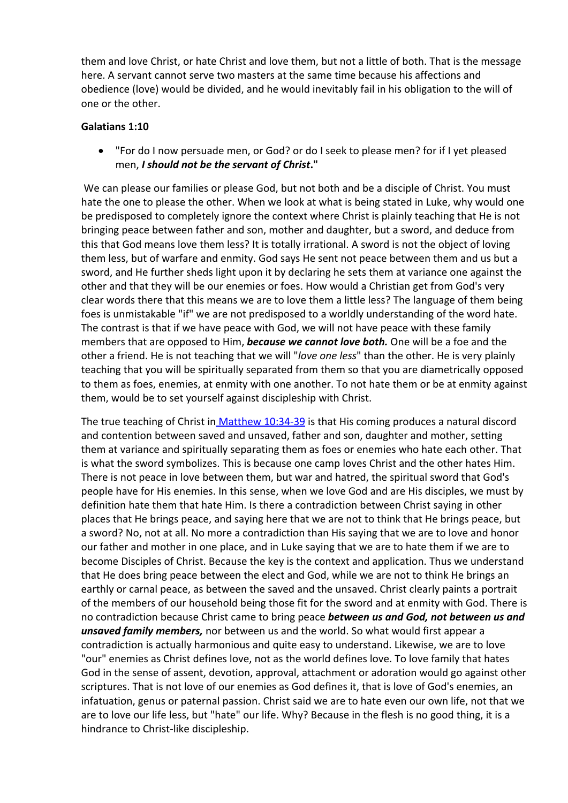them and love Christ, or hate Christ and love them, but not a little of both. That is the message here. A servant cannot serve two masters at the same time because his affections and obedience (love) would be divided, and he would inevitably fail in his obligation to the will of one or the other.

## **Galatians 1:10**

 "For do I now persuade men, or God? or do I seek to please men? for if I yet pleased men, *I should not be the servant of Christ***."**

We can please our families or please God, but not both and be a disciple of Christ. You must hate the one to please the other. When we look at what is being stated in Luke, why would one be predisposed to completely ignore the context where Christ is plainly teaching that He is not bringing peace between father and son, mother and daughter, but a sword, and deduce from this that God means love them less? It is totally irrational. A sword is not the object of loving them less, but of warfare and enmity. God says He sent not peace between them and us but a sword, and He further sheds light upon it by declaring he sets them at variance one against the other and that they will be our enemies or foes. How would a Christian get from God's very clear words there that this means we are to love them a little less? The language of them being foes is unmistakable "if" we are not predisposed to a worldly understanding of the word hate. The contrast is that if we have peace with God, we will not have peace with these family members that are opposed to Him, *because we cannot love both.* One will be a foe and the other a friend. He is not teaching that we will "*love one less*" than the other. He is very plainly teaching that you will be spiritually separated from them so that you are diametrically opposed to them as foes, enemies, at enmity with one another. To not hate them or be at enmity against them, would be to set yourself against discipleship with Christ.

The true teaching of Christ in [Matthew](http://www.mountainretreat.org/bibleit/bibleit.cgi) [10:34-39](http://www.mountainretreat.org/bibleit/bibleit.cgi) is that His coming produces a natural discord and contention between saved and unsaved, father and son, daughter and mother, setting them at variance and spiritually separating them as foes or enemies who hate each other. That is what the sword symbolizes. This is because one camp loves Christ and the other hates Him. There is not peace in love between them, but war and hatred, the spiritual sword that God's people have for His enemies. In this sense, when we love God and are His disciples, we must by definition hate them that hate Him. Is there a contradiction between Christ saying in other places that He brings peace, and saying here that we are not to think that He brings peace, but a sword? No, not at all. No more a contradiction than His saying that we are to love and honor our father and mother in one place, and in Luke saying that we are to hate them if we are to become Disciples of Christ. Because the key is the context and application. Thus we understand that He does bring peace between the elect and God, while we are not to think He brings an earthly or carnal peace, as between the saved and the unsaved. Christ clearly paints a portrait of the members of our household being those fit for the sword and at enmity with God. There is no contradiction because Christ came to bring peace *between us and God, not between us and unsaved family members,* nor between us and the world. So what would first appear a contradiction is actually harmonious and quite easy to understand. Likewise, we are to love "our" enemies as Christ defines love, not as the world defines love. To love family that hates God in the sense of assent, devotion, approval, attachment or adoration would go against other scriptures. That is not love of our enemies as God defines it, that is love of God's enemies, an infatuation, genus or paternal passion. Christ said we are to hate even our own life, not that we are to love our life less, but "hate" our life. Why? Because in the flesh is no good thing, it is a hindrance to Christ-like discipleship.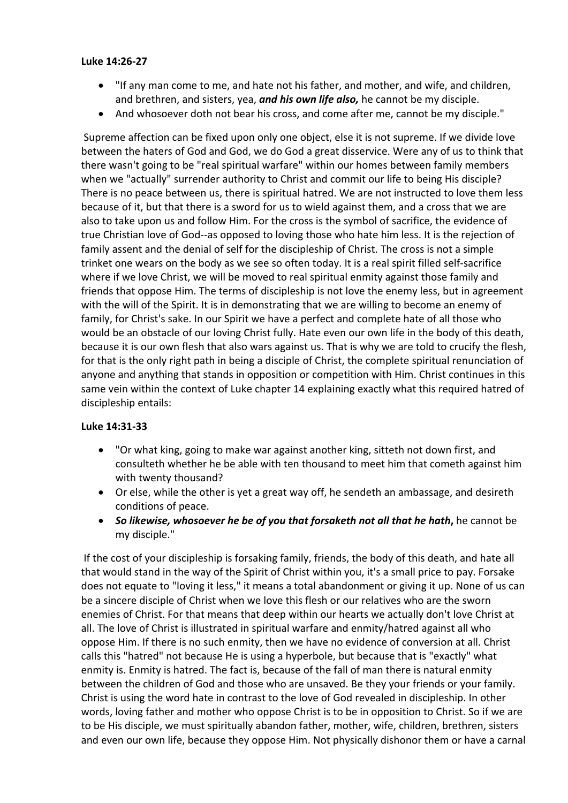#### **Luke 14:26-27**

- "If any man come to me, and hate not his father, and mother, and wife, and children, and brethren, and sisters, yea, *and his own life also,* he cannot be my disciple.
- And whosoever doth not bear his cross, and come after me, cannot be my disciple."

Supreme affection can be fixed upon only one object, else it is not supreme. If we divide love between the haters of God and God, we do God a great disservice. Were any of us to think that there wasn't going to be "real spiritual warfare" within our homes between family members when we "actually" surrender authority to Christ and commit our life to being His disciple? There is no peace between us, there is spiritual hatred. We are not instructed to love them less because of it, but that there is a sword for us to wield against them, and a cross that we are also to take upon us and follow Him. For the cross is the symbol of sacrifice, the evidence of true Christian love of God--as opposed to loving those who hate him less. It is the rejection of family assent and the denial of self for the discipleship of Christ. The cross is not a simple trinket one wears on the body as we see so often today. It is a real spirit filled self-sacrifice where if we love Christ, we will be moved to real spiritual enmity against those family and friends that oppose Him. The terms of discipleship is not love the enemy less, but in agreement with the will of the Spirit. It is in demonstrating that we are willing to become an enemy of family, for Christ's sake. In our Spirit we have a perfect and complete hate of all those who would be an obstacle of our loving Christ fully. Hate even our own life in the body of this death, because it is our own flesh that also wars against us. That is why we are told to crucify the flesh, for that is the only right path in being a disciple of Christ, the complete spiritual renunciation of anyone and anything that stands in opposition or competition with Him. Christ continues in this same vein within the context of Luke chapter 14 explaining exactly what this required hatred of discipleship entails:

### **Luke 14:31-33**

- "Or what king, going to make war against another king, sitteth not down first, and consulteth whether he be able with ten thousand to meet him that cometh against him with twenty thousand?
- Or else, while the other is yet a great way off, he sendeth an ambassage, and desireth conditions of peace.
- *So likewise, whosoever he be of you that forsaketh not all that he hath***,** he cannot be my disciple."

If the cost of your discipleship is forsaking family, friends, the body of this death, and hate all that would stand in the way of the Spirit of Christ within you, it's a small price to pay. Forsake does not equate to "loving it less," it means a total abandonment or giving it up. None of us can be a sincere disciple of Christ when we love this flesh or our relatives who are the sworn enemies of Christ. For that means that deep within our hearts we actually don't love Christ at all. The love of Christ is illustrated in spiritual warfare and enmity/hatred against all who oppose Him. If there is no such enmity, then we have no evidence of conversion at all. Christ calls this "hatred" not because He is using a hyperbole, but because that is "exactly" what enmity is. Enmity is hatred. The fact is, because of the fall of man there is natural enmity between the children of God and those who are unsaved. Be they your friends or your family. Christ is using the word hate in contrast to the love of God revealed in discipleship. In other words, loving father and mother who oppose Christ is to be in opposition to Christ. So if we are to be His disciple, we must spiritually abandon father, mother, wife, children, brethren, sisters and even our own life, because they oppose Him. Not physically dishonor them or have a carnal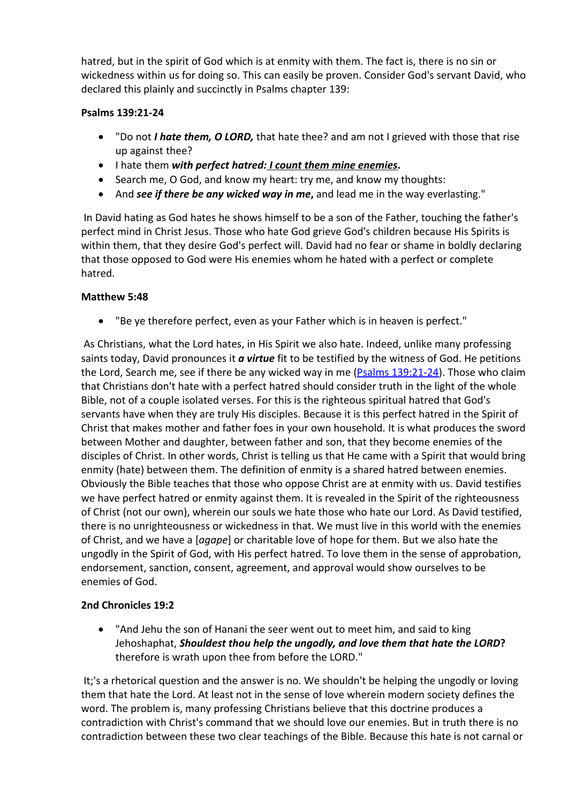hatred, but in the spirit of God which is at enmity with them. The fact is, there is no sin or wickedness within us for doing so. This can easily be proven. Consider God's servant David, who declared this plainly and succinctly in Psalms chapter 139:

# **Psalms 139:21-24**

- "Do not *I hate them, O LORD,* that hate thee? and am not I grieved with those that rise up against thee?
- I hate them *with perfect hatred: I count them mine enemies***.**
- Search me, O God, and know my heart: try me, and know my thoughts:
- And *see if there be any wicked way in me***,** and lead me in the way everlasting."

In David hating as God hates he shows himself to be a son of the Father, touching the father's perfect mind in Christ Jesus. Those who hate God grieve God's children because His Spirits is within them, that they desire God's perfect will. David had no fear or shame in boldly declaring that those opposed to God were His enemies whom he hated with a perfect or complete hatred.

## **Matthew 5:48**

"Be ye therefore perfect, even as your Father which is in heaven is perfect."

As Christians, what the Lord hates, in His Spirit we also hate. Indeed, unlike many professing saints today, David pronounces it *a virtue* fit to be testified by the witness of God. He petitions the Lord, Search me, see if there be any wicked way in me [\(Psalms](http://www.mountainretreat.org/bibleit/bibleit.cgi) [139:21-24](http://www.mountainretreat.org/bibleit/bibleit.cgi)). Those who claim that Christians don't hate with a perfect hatred should consider truth in the light of the whole Bible, not of a couple isolated verses. For this is the righteous spiritual hatred that God's servants have when they are truly His disciples. Because it is this perfect hatred in the Spirit of Christ that makes mother and father foes in your own household. It is what produces the sword between Mother and daughter, between father and son, that they become enemies of the disciples of Christ. In other words, Christ is telling us that He came with a Spirit that would bring enmity (hate) between them. The definition of enmity is a shared hatred between enemies. Obviously the Bible teaches that those who oppose Christ are at enmity with us. David testifies we have perfect hatred or enmity against them. It is revealed in the Spirit of the righteousness of Christ (not our own), wherein our souls we hate those who hate our Lord. As David testified, there is no unrighteousness or wickedness in that. We must live in this world with the enemies of Christ, and we have a [*agape*] or charitable love of hope for them. But we also hate the ungodly in the Spirit of God, with His perfect hatred. To love them in the sense of approbation, endorsement, sanction, consent, agreement, and approval would show ourselves to be enemies of God.

## **2nd Chronicles 19:2**

 "And Jehu the son of Hanani the seer went out to meet him, and said to king Jehoshaphat, *Shouldest thou help the ungodly, and love them that hate the LORD***?** therefore is wrath upon thee from before the LORD."

It;'s a rhetorical question and the answer is no. We shouldn't be helping the ungodly or loving them that hate the Lord. At least not in the sense of love wherein modern society defines the word. The problem is, many professing Christians believe that this doctrine produces a contradiction with Christ's command that we should love our enemies. But in truth there is no contradiction between these two clear teachings of the Bible. Because this hate is not carnal or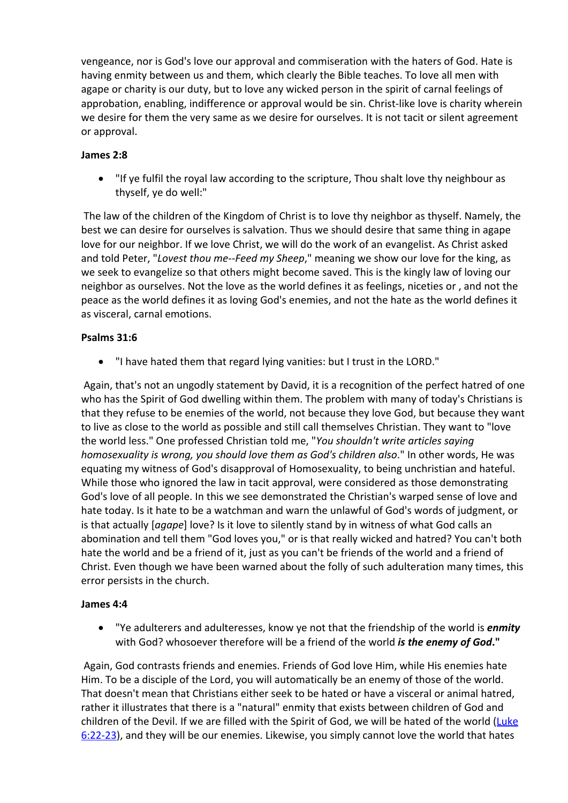vengeance, nor is God's love our approval and commiseration with the haters of God. Hate is having enmity between us and them, which clearly the Bible teaches. To love all men with agape or charity is our duty, but to love any wicked person in the spirit of carnal feelings of approbation, enabling, indifference or approval would be sin. Christ-like love is charity wherein we desire for them the very same as we desire for ourselves. It is not tacit or silent agreement or approval.

## **James 2:8**

 "If ye fulfil the royal law according to the scripture, Thou shalt love thy neighbour as thyself, ye do well:"

The law of the children of the Kingdom of Christ is to love thy neighbor as thyself. Namely, the best we can desire for ourselves is salvation. Thus we should desire that same thing in agape love for our neighbor. If we love Christ, we will do the work of an evangelist. As Christ asked and told Peter, "*Lovest thou me--Feed my Sheep*," meaning we show our love for the king, as we seek to evangelize so that others might become saved. This is the kingly law of loving our neighbor as ourselves. Not the love as the world defines it as feelings, niceties or , and not the peace as the world defines it as loving God's enemies, and not the hate as the world defines it as visceral, carnal emotions.

## **Psalms 31:6**

"I have hated them that regard lying vanities: but I trust in the LORD."

Again, that's not an ungodly statement by David, it is a recognition of the perfect hatred of one who has the Spirit of God dwelling within them. The problem with many of today's Christians is that they refuse to be enemies of the world, not because they love God, but because they want to live as close to the world as possible and still call themselves Christian. They want to "love the world less." One professed Christian told me, "*You shouldn't write articles saying homosexuality is wrong, you should love them as God's children also*." In other words, He was equating my witness of God's disapproval of Homosexuality, to being unchristian and hateful. While those who ignored the law in tacit approval, were considered as those demonstrating God's love of all people. In this we see demonstrated the Christian's warped sense of love and hate today. Is it hate to be a watchman and warn the unlawful of God's words of judgment, or is that actually [*agape*] love? Is it love to silently stand by in witness of what God calls an abomination and tell them "God loves you," or is that really wicked and hatred? You can't both hate the world and be a friend of it, just as you can't be friends of the world and a friend of Christ. Even though we have been warned about the folly of such adulteration many times, this error persists in the church.

## **James 4:4**

 "Ye adulterers and adulteresses, know ye not that the friendship of the world is *enmity* with God? whosoever therefore will be a friend of the world *is the enemy of God***."**

Again, God contrasts friends and enemies. Friends of God love Him, while His enemies hate Him. To be a disciple of the Lord, you will automatically be an enemy of those of the world. That doesn't mean that Christians either seek to be hated or have a visceral or animal hatred, rather it illustrates that there is a "natural" enmity that exists between children of God and children of the Devil. If we are filled with the Spirit of God, we will be hated of the world ([Luke](http://www.mountainretreat.org/bibleit/bibleit.cgi) [6:22-23](http://www.mountainretreat.org/bibleit/bibleit.cgi)), and they will be our enemies. Likewise, you simply cannot love the world that hates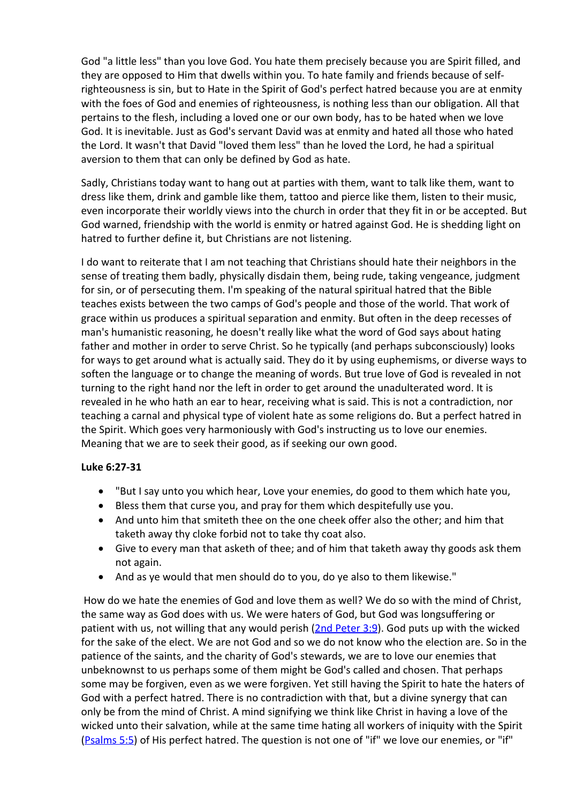God "a little less" than you love God. You hate them precisely because you are Spirit filled, and they are opposed to Him that dwells within you. To hate family and friends because of selfrighteousness is sin, but to Hate in the Spirit of God's perfect hatred because you are at enmity with the foes of God and enemies of righteousness, is nothing less than our obligation. All that pertains to the flesh, including a loved one or our own body, has to be hated when we love God. It is inevitable. Just as God's servant David was at enmity and hated all those who hated the Lord. It wasn't that David "loved them less" than he loved the Lord, he had a spiritual aversion to them that can only be defined by God as hate.

Sadly, Christians today want to hang out at parties with them, want to talk like them, want to dress like them, drink and gamble like them, tattoo and pierce like them, listen to their music, even incorporate their worldly views into the church in order that they fit in or be accepted. But God warned, friendship with the world is enmity or hatred against God. He is shedding light on hatred to further define it, but Christians are not listening.

I do want to reiterate that I am not teaching that Christians should hate their neighbors in the sense of treating them badly, physically disdain them, being rude, taking vengeance, judgment for sin, or of persecuting them. I'm speaking of the natural spiritual hatred that the Bible teaches exists between the two camps of God's people and those of the world. That work of grace within us produces a spiritual separation and enmity. But often in the deep recesses of man's humanistic reasoning, he doesn't really like what the word of God says about hating father and mother in order to serve Christ. So he typically (and perhaps subconsciously) looks for ways to get around what is actually said. They do it by using euphemisms, or diverse ways to soften the language or to change the meaning of words. But true love of God is revealed in not turning to the right hand nor the left in order to get around the unadulterated word. It is revealed in he who hath an ear to hear, receiving what is said. This is not a contradiction, nor teaching a carnal and physical type of violent hate as some religions do. But a perfect hatred in the Spirit. Which goes very harmoniously with God's instructing us to love our enemies. Meaning that we are to seek their good, as if seeking our own good.

## **Luke 6:27-31**

- "But I say unto you which hear, Love your enemies, do good to them which hate you,
- Bless them that curse you, and pray for them which despitefully use you.
- And unto him that smiteth thee on the one cheek offer also the other; and him that taketh away thy cloke forbid not to take thy coat also.
- Give to every man that asketh of thee; and of him that taketh away thy goods ask them not again.
- And as ye would that men should do to you, do ye also to them likewise."

How do we hate the enemies of God and love them as well? We do so with the mind of Christ, the same way as God does with us. We were haters of God, but God was longsuffering or patient with us, not willing that any would perish [\(2nd](http://www.mountainretreat.org/bibleit/bibleit.cgi) [Peter](http://www.mountainretreat.org/bibleit/bibleit.cgi) [3:9\)](http://www.mountainretreat.org/bibleit/bibleit.cgi). God puts up with the wicked for the sake of the elect. We are not God and so we do not know who the election are. So in the patience of the saints, and the charity of God's stewards, we are to love our enemies that unbeknownst to us perhaps some of them might be God's called and chosen. That perhaps some may be forgiven, even as we were forgiven. Yet still having the Spirit to hate the haters of God with a perfect hatred. There is no contradiction with that, but a divine synergy that can only be from the mind of Christ. A mind signifying we think like Christ in having a love of the wicked unto their salvation, while at the same time hating all workers of iniquity with the Spirit ([Psalms](http://www.mountainretreat.org/bibleit/bibleit.cgi) [5:5](http://www.mountainretreat.org/bibleit/bibleit.cgi)) of His perfect hatred. The question is not one of "if" we love our enemies, or "if"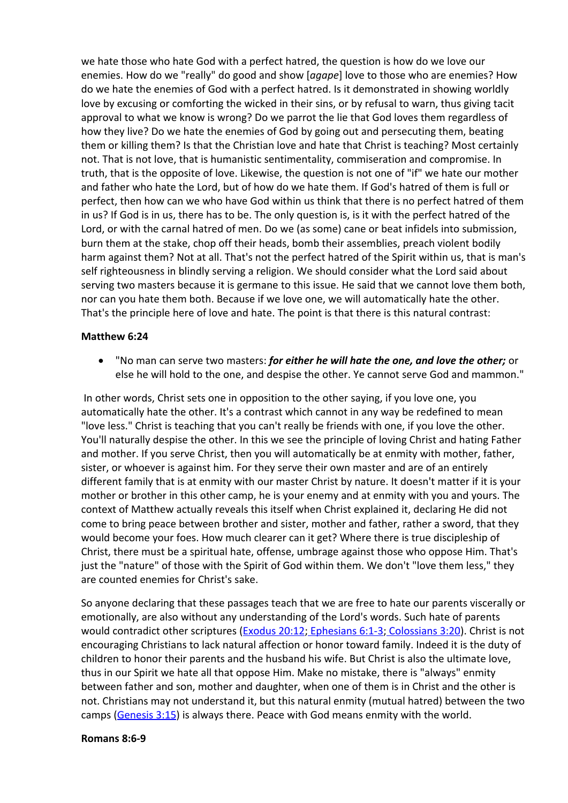we hate those who hate God with a perfect hatred, the question is how do we love our enemies. How do we "really" do good and show [*agape*] love to those who are enemies? How do we hate the enemies of God with a perfect hatred. Is it demonstrated in showing worldly love by excusing or comforting the wicked in their sins, or by refusal to warn, thus giving tacit approval to what we know is wrong? Do we parrot the lie that God loves them regardless of how they live? Do we hate the enemies of God by going out and persecuting them, beating them or killing them? Is that the Christian love and hate that Christ is teaching? Most certainly not. That is not love, that is humanistic sentimentality, commiseration and compromise. In truth, that is the opposite of love. Likewise, the question is not one of "if" we hate our mother and father who hate the Lord, but of how do we hate them. If God's hatred of them is full or perfect, then how can we who have God within us think that there is no perfect hatred of them in us? If God is in us, there has to be. The only question is, is it with the perfect hatred of the Lord, or with the carnal hatred of men. Do we (as some) cane or beat infidels into submission, burn them at the stake, chop off their heads, bomb their assemblies, preach violent bodily harm against them? Not at all. That's not the perfect hatred of the Spirit within us, that is man's self righteousness in blindly serving a religion. We should consider what the Lord said about serving two masters because it is germane to this issue. He said that we cannot love them both, nor can you hate them both. Because if we love one, we will automatically hate the other. That's the principle here of love and hate. The point is that there is this natural contrast:

#### **Matthew 6:24**

 "No man can serve two masters: *for either he will hate the one, and love the other;* or else he will hold to the one, and despise the other. Ye cannot serve God and mammon."

In other words, Christ sets one in opposition to the other saying, if you love one, you automatically hate the other. It's a contrast which cannot in any way be redefined to mean "love less." Christ is teaching that you can't really be friends with one, if you love the other. You'll naturally despise the other. In this we see the principle of loving Christ and hating Father and mother. If you serve Christ, then you will automatically be at enmity with mother, father, sister, or whoever is against him. For they serve their own master and are of an entirely different family that is at enmity with our master Christ by nature. It doesn't matter if it is your mother or brother in this other camp, he is your enemy and at enmity with you and yours. The context of Matthew actually reveals this itself when Christ explained it, declaring He did not come to bring peace between brother and sister, mother and father, rather a sword, that they would become your foes. How much clearer can it get? Where there is true discipleship of Christ, there must be a spiritual hate, offense, umbrage against those who oppose Him. That's just the "nature" of those with the Spirit of God within them. We don't "love them less," they are counted enemies for Christ's sake.

So anyone declaring that these passages teach that we are free to hate our parents viscerally or emotionally, are also without any understanding of the Lord's words. Such hate of parents would contradict other scriptures ([Exodus](http://www.mountainretreat.org/bibleit/bibleit.cgi) [20:12;](http://www.mountainretreat.org/bibleit/bibleit.cgi) [Ephesians](http://www.mountainretreat.org/bibleit/bibleit.cgi) [6:1-3;](http://www.mountainretreat.org/bibleit/bibleit.cgi) [Colossians](http://www.mountainretreat.org/bibleit/bibleit.cgi) [3:20\)](http://www.mountainretreat.org/bibleit/bibleit.cgi). Christ is not encouraging Christians to lack natural affection or honor toward family. Indeed it is the duty of children to honor their parents and the husband his wife. But Christ is also the ultimate love, thus in our Spirit we hate all that oppose Him. Make no mistake, there is "always" enmity between father and son, mother and daughter, when one of them is in Christ and the other is not. Christians may not understand it, but this natural enmity (mutual hatred) between the two camps ([Genesis](http://www.mountainretreat.org/bibleit/bibleit.cgi) [3:15\)](http://www.mountainretreat.org/bibleit/bibleit.cgi) is always there. Peace with God means enmity with the world.

#### **Romans 8:6-9**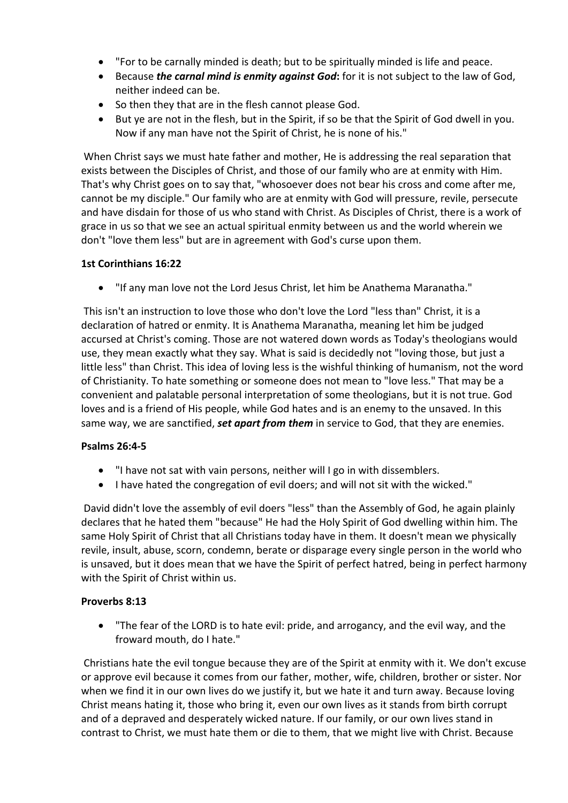- "For to be carnally minded is death; but to be spiritually minded is life and peace.
- Because *the carnal mind is enmity against God***:** for it is not subject to the law of God, neither indeed can be.
- So then they that are in the flesh cannot please God.
- But ye are not in the flesh, but in the Spirit, if so be that the Spirit of God dwell in you. Now if any man have not the Spirit of Christ, he is none of his."

When Christ says we must hate father and mother, He is addressing the real separation that exists between the Disciples of Christ, and those of our family who are at enmity with Him. That's why Christ goes on to say that, "whosoever does not bear his cross and come after me, cannot be my disciple." Our family who are at enmity with God will pressure, revile, persecute and have disdain for those of us who stand with Christ. As Disciples of Christ, there is a work of grace in us so that we see an actual spiritual enmity between us and the world wherein we don't "love them less" but are in agreement with God's curse upon them.

## **1st Corinthians 16:22**

"If any man love not the Lord Jesus Christ, let him be Anathema Maranatha."

This isn't an instruction to love those who don't love the Lord "less than" Christ, it is a declaration of hatred or enmity. It is Anathema Maranatha, meaning let him be judged accursed at Christ's coming. Those are not watered down words as Today's theologians would use, they mean exactly what they say. What is said is decidedly not "loving those, but just a little less" than Christ. This idea of loving less is the wishful thinking of humanism, not the word of Christianity. To hate something or someone does not mean to "love less." That may be a convenient and palatable personal interpretation of some theologians, but it is not true. God loves and is a friend of His people, while God hates and is an enemy to the unsaved. In this same way, we are sanctified, *set apart from them* in service to God, that they are enemies.

## **Psalms 26:4-5**

- "I have not sat with vain persons, neither will I go in with dissemblers.
- I have hated the congregation of evil doers; and will not sit with the wicked."

David didn't love the assembly of evil doers "less" than the Assembly of God, he again plainly declares that he hated them "because" He had the Holy Spirit of God dwelling within him. The same Holy Spirit of Christ that all Christians today have in them. It doesn't mean we physically revile, insult, abuse, scorn, condemn, berate or disparage every single person in the world who is unsaved, but it does mean that we have the Spirit of perfect hatred, being in perfect harmony with the Spirit of Christ within us.

## **Proverbs 8:13**

 "The fear of the LORD is to hate evil: pride, and arrogancy, and the evil way, and the froward mouth, do I hate."

Christians hate the evil tongue because they are of the Spirit at enmity with it. We don't excuse or approve evil because it comes from our father, mother, wife, children, brother or sister. Nor when we find it in our own lives do we justify it, but we hate it and turn away. Because loving Christ means hating it, those who bring it, even our own lives as it stands from birth corrupt and of a depraved and desperately wicked nature. If our family, or our own lives stand in contrast to Christ, we must hate them or die to them, that we might live with Christ. Because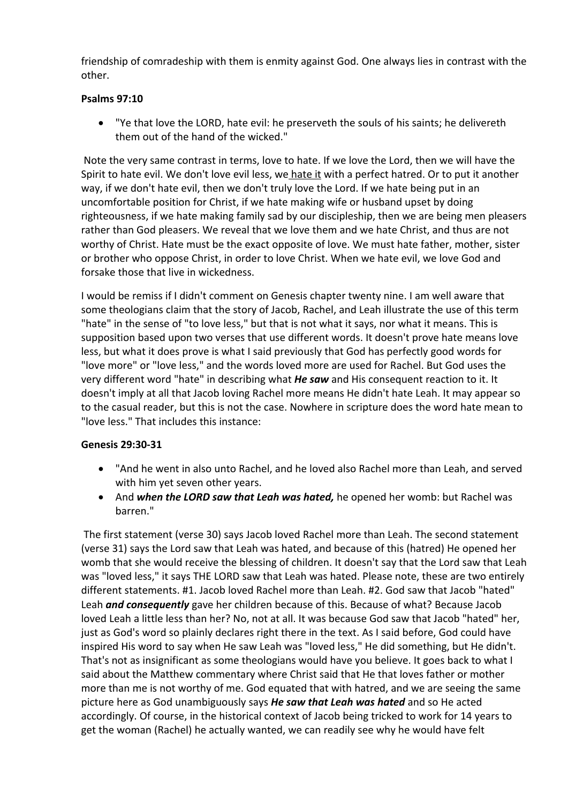friendship of comradeship with them is enmity against God. One always lies in contrast with the other.

# **Psalms 97:10**

 "Ye that love the LORD, hate evil: he preserveth the souls of his saints; he delivereth them out of the hand of the wicked."

Note the very same contrast in terms, love to hate. If we love the Lord, then we will have the Spirit to hate evil. We don't love evil less, we hate it with a perfect hatred. Or to put it another way, if we don't hate evil, then we don't truly love the Lord. If we hate being put in an uncomfortable position for Christ, if we hate making wife or husband upset by doing righteousness, if we hate making family sad by our discipleship, then we are being men pleasers rather than God pleasers. We reveal that we love them and we hate Christ, and thus are not worthy of Christ. Hate must be the exact opposite of love. We must hate father, mother, sister or brother who oppose Christ, in order to love Christ. When we hate evil, we love God and forsake those that live in wickedness.

I would be remiss if I didn't comment on Genesis chapter twenty nine. I am well aware that some theologians claim that the story of Jacob, Rachel, and Leah illustrate the use of this term "hate" in the sense of "to love less," but that is not what it says, nor what it means. This is supposition based upon two verses that use different words. It doesn't prove hate means love less, but what it does prove is what I said previously that God has perfectly good words for "love more" or "love less," and the words loved more are used for Rachel. But God uses the very different word "hate" in describing what *He saw* and His consequent reaction to it. It doesn't imply at all that Jacob loving Rachel more means He didn't hate Leah. It may appear so to the casual reader, but this is not the case. Nowhere in scripture does the word hate mean to "love less." That includes this instance:

## **Genesis 29:30-31**

- "And he went in also unto Rachel, and he loved also Rachel more than Leah, and served with him yet seven other years.
- And *when the LORD saw that Leah was hated,* he opened her womb: but Rachel was barren."

The first statement (verse 30) says Jacob loved Rachel more than Leah. The second statement (verse 31) says the Lord saw that Leah was hated, and because of this (hatred) He opened her womb that she would receive the blessing of children. It doesn't say that the Lord saw that Leah was "loved less," it says THE LORD saw that Leah was hated. Please note, these are two entirely different statements. #1. Jacob loved Rachel more than Leah. #2. God saw that Jacob "hated" Leah *and consequently* gave her children because of this. Because of what? Because Jacob loved Leah a little less than her? No, not at all. It was because God saw that Jacob "hated" her, just as God's word so plainly declares right there in the text. As I said before, God could have inspired His word to say when He saw Leah was "loved less," He did something, but He didn't. That's not as insignificant as some theologians would have you believe. It goes back to what I said about the Matthew commentary where Christ said that He that loves father or mother more than me is not worthy of me. God equated that with hatred, and we are seeing the same picture here as God unambiguously says *He saw that Leah was hated* and so He acted accordingly. Of course, in the historical context of Jacob being tricked to work for 14 years to get the woman (Rachel) he actually wanted, we can readily see why he would have felt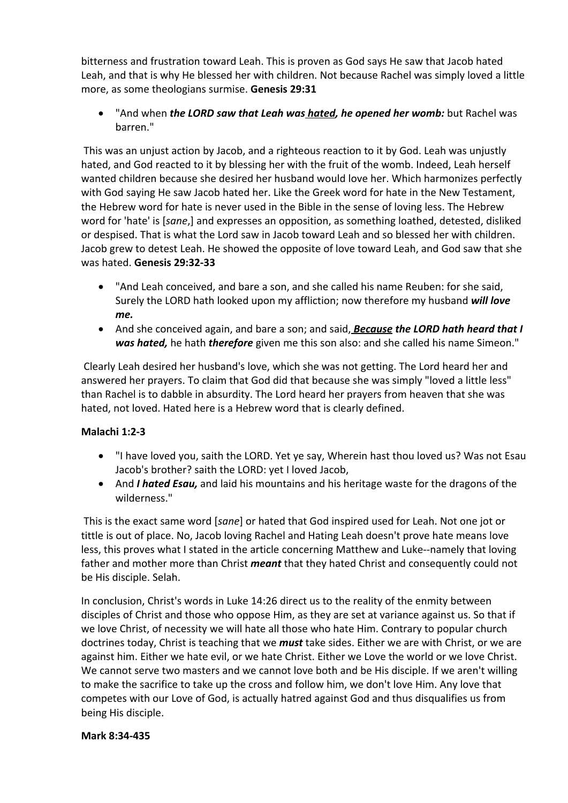bitterness and frustration toward Leah. This is proven as God says He saw that Jacob hated Leah, and that is why He blessed her with children. Not because Rachel was simply loved a little more, as some theologians surmise. **Genesis 29:31**

 "And when *the LORD saw that Leah was hated, he opened her womb:* but Rachel was barren."

This was an unjust action by Jacob, and a righteous reaction to it by God. Leah was unjustly hated, and God reacted to it by blessing her with the fruit of the womb. Indeed, Leah herself wanted children because she desired her husband would love her. Which harmonizes perfectly with God saying He saw Jacob hated her. Like the Greek word for hate in the New Testament, the Hebrew word for hate is never used in the Bible in the sense of loving less. The Hebrew word for 'hate' is [*sane*,] and expresses an opposition, as something loathed, detested, disliked or despised. That is what the Lord saw in Jacob toward Leah and so blessed her with children. Jacob grew to detest Leah. He showed the opposite of love toward Leah, and God saw that she was hated. **Genesis 29:32-33**

- "And Leah conceived, and bare a son, and she called his name Reuben: for she said, Surely the LORD hath looked upon my affliction; now therefore my husband *will love me.*
- And she conceived again, and bare a son; and said, *Because the LORD hath heard that I was hated,* he hath *therefore* given me this son also: and she called his name Simeon."

Clearly Leah desired her husband's love, which she was not getting. The Lord heard her and answered her prayers. To claim that God did that because she was simply "loved a little less" than Rachel is to dabble in absurdity. The Lord heard her prayers from heaven that she was hated, not loved. Hated here is a Hebrew word that is clearly defined.

# **Malachi 1:2-3**

- "I have loved you, saith the LORD. Yet ye say, Wherein hast thou loved us? Was not Esau Jacob's brother? saith the LORD: yet I loved Jacob,
- And *I hated Esau,* and laid his mountains and his heritage waste for the dragons of the wilderness."

This is the exact same word [*sane*] or hated that God inspired used for Leah. Not one jot or tittle is out of place. No, Jacob loving Rachel and Hating Leah doesn't prove hate means love less, this proves what I stated in the article concerning Matthew and Luke--namely that loving father and mother more than Christ *meant* that they hated Christ and consequently could not be His disciple. Selah.

In conclusion, Christ's words in Luke 14:26 direct us to the reality of the enmity between disciples of Christ and those who oppose Him, as they are set at variance against us. So that if we love Christ, of necessity we will hate all those who hate Him. Contrary to popular church doctrines today, Christ is teaching that we *must* take sides. Either we are with Christ, or we are against him. Either we hate evil, or we hate Christ. Either we Love the world or we love Christ. We cannot serve two masters and we cannot love both and be His disciple. If we aren't willing to make the sacrifice to take up the cross and follow him, we don't love Him. Any love that competes with our Love of God, is actually hatred against God and thus disqualifies us from being His disciple.

### **Mark 8:34-435**